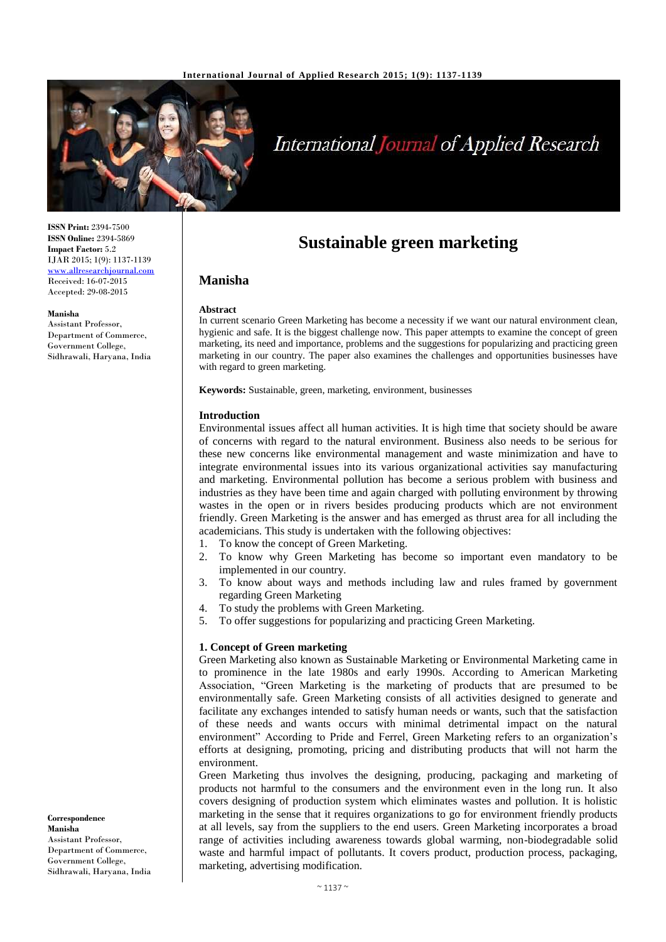

# **International Journal of Applied Research**

**ISSN Print:** 2394-7500 **ISSN Online:** 2394-5869 **Impact Factor:** 5.2 IJAR 2015; 1(9): 1137-1139 [www.allresearchjournal.com](http://www.allresearchjournal.com/) Received: 16-07-2015 Accepted: 29-08-2015

#### **Manisha**

Assistant Professor, Department of Commerce, Government College, Sidhrawali, Haryana, India

**Correspondence Manisha** Assistant Professor, Department of Commerce, Government College, Sidhrawali, Haryana, India

## **Sustainable green marketing**

## **Manisha**

#### **Abstract**

In current scenario Green Marketing has become a necessity if we want our natural environment clean, hygienic and safe. It is the biggest challenge now. This paper attempts to examine the concept of green marketing, its need and importance, problems and the suggestions for popularizing and practicing green marketing in our country. The paper also examines the challenges and opportunities businesses have with regard to green marketing.

**Keywords:** Sustainable, green, marketing, environment, businesses

#### **Introduction**

Environmental issues affect all human activities. It is high time that society should be aware of concerns with regard to the natural environment. Business also needs to be serious for these new concerns like environmental management and waste minimization and have to integrate environmental issues into its various organizational activities say manufacturing and marketing. Environmental pollution has become a serious problem with business and industries as they have been time and again charged with polluting environment by throwing wastes in the open or in rivers besides producing products which are not environment friendly. Green Marketing is the answer and has emerged as thrust area for all including the academicians. This study is undertaken with the following objectives:

- 1. To know the concept of Green Marketing.
- 2. To know why Green Marketing has become so important even mandatory to be implemented in our country.
- 3. To know about ways and methods including law and rules framed by government regarding Green Marketing
- 4. To study the problems with Green Marketing.
- 5. To offer suggestions for popularizing and practicing Green Marketing.

#### **1. Concept of Green marketing**

Green Marketing also known as Sustainable Marketing or Environmental Marketing came in to prominence in the late 1980s and early 1990s. According to American Marketing Association, "Green Marketing is the marketing of products that are presumed to be environmentally safe. Green Marketing consists of all activities designed to generate and facilitate any exchanges intended to satisfy human needs or wants, such that the satisfaction of these needs and wants occurs with minimal detrimental impact on the natural environment" According to Pride and Ferrel, Green Marketing refers to an organization's efforts at designing, promoting, pricing and distributing products that will not harm the environment.

Green Marketing thus involves the designing, producing, packaging and marketing of products not harmful to the consumers and the environment even in the long run. It also covers designing of production system which eliminates wastes and pollution. It is holistic marketing in the sense that it requires organizations to go for environment friendly products at all levels, say from the suppliers to the end users. Green Marketing incorporates a broad range of activities including awareness towards global warming, non-biodegradable solid waste and harmful impact of pollutants. It covers product, production process, packaging, marketing, advertising modification.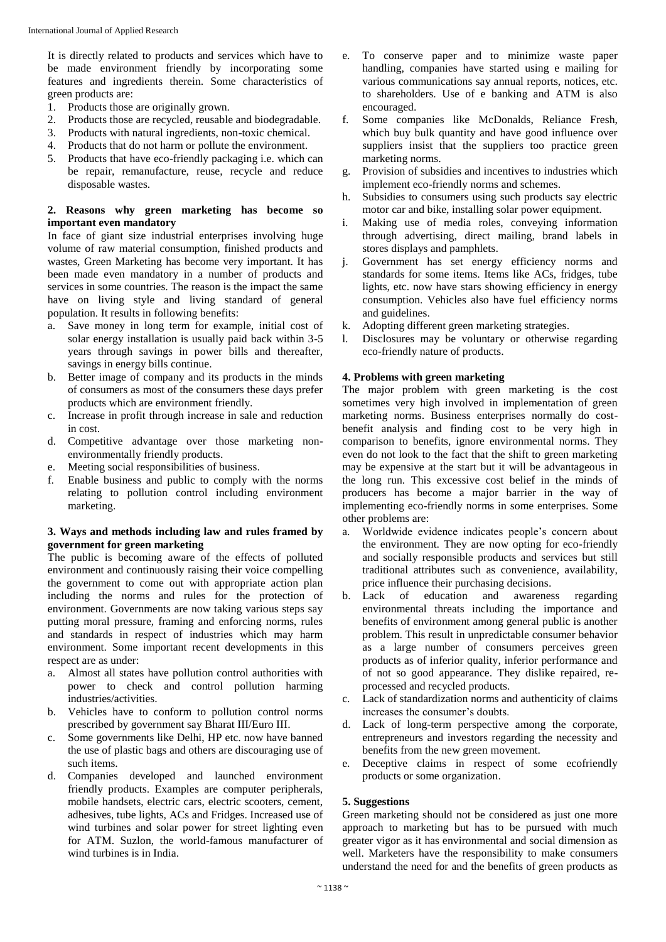It is directly related to products and services which have to be made environment friendly by incorporating some features and ingredients therein. Some characteristics of green products are:

- 1. Products those are originally grown.
- 2. Products those are recycled, reusable and biodegradable.
- 3. Products with natural ingredients, non-toxic chemical.
- 4. Products that do not harm or pollute the environment.
- 5. Products that have eco-friendly packaging i.e. which can be repair, remanufacture, reuse, recycle and reduce disposable wastes.

#### **2. Reasons why green marketing has become so important even mandatory**

In face of giant size industrial enterprises involving huge volume of raw material consumption, finished products and wastes, Green Marketing has become very important. It has been made even mandatory in a number of products and services in some countries. The reason is the impact the same have on living style and living standard of general population. It results in following benefits:

- a. Save money in long term for example, initial cost of solar energy installation is usually paid back within 3-5 years through savings in power bills and thereafter, savings in energy bills continue.
- b. Better image of company and its products in the minds of consumers as most of the consumers these days prefer products which are environment friendly.
- c. Increase in profit through increase in sale and reduction in cost.
- d. Competitive advantage over those marketing nonenvironmentally friendly products.
- e. Meeting social responsibilities of business.
- f. Enable business and public to comply with the norms relating to pollution control including environment marketing.

#### **3. Ways and methods including law and rules framed by government for green marketing**

The public is becoming aware of the effects of polluted environment and continuously raising their voice compelling the government to come out with appropriate action plan including the norms and rules for the protection of environment. Governments are now taking various steps say putting moral pressure, framing and enforcing norms, rules and standards in respect of industries which may harm environment. Some important recent developments in this respect are as under:

- a. Almost all states have pollution control authorities with power to check and control pollution harming industries/activities.
- b. Vehicles have to conform to pollution control norms prescribed by government say Bharat III/Euro III.
- c. Some governments like Delhi, HP etc. now have banned the use of plastic bags and others are discouraging use of such items.
- d. Companies developed and launched environment friendly products. Examples are computer peripherals, mobile handsets, electric cars, electric scooters, cement, adhesives, tube lights, ACs and Fridges. Increased use of wind turbines and solar power for street lighting even for ATM. Suzlon, the world-famous manufacturer of wind turbines is in India.
- e. To conserve paper and to minimize waste paper handling, companies have started using e mailing for various communications say annual reports, notices, etc. to shareholders. Use of e banking and ATM is also encouraged.
- f. Some companies like McDonalds, Reliance Fresh, which buy bulk quantity and have good influence over suppliers insist that the suppliers too practice green marketing norms.
- g. Provision of subsidies and incentives to industries which implement eco-friendly norms and schemes.
- h. Subsidies to consumers using such products say electric motor car and bike, installing solar power equipment.
- i. Making use of media roles, conveying information through advertising, direct mailing, brand labels in stores displays and pamphlets.
- j. Government has set energy efficiency norms and standards for some items. Items like ACs, fridges, tube lights, etc. now have stars showing efficiency in energy consumption. Vehicles also have fuel efficiency norms and guidelines.
- k. Adopting different green marketing strategies.
- l. Disclosures may be voluntary or otherwise regarding eco-friendly nature of products.

## **4. Problems with green marketing**

The major problem with green marketing is the cost sometimes very high involved in implementation of green marketing norms. Business enterprises normally do costbenefit analysis and finding cost to be very high in comparison to benefits, ignore environmental norms. They even do not look to the fact that the shift to green marketing may be expensive at the start but it will be advantageous in the long run. This excessive cost belief in the minds of producers has become a major barrier in the way of implementing eco-friendly norms in some enterprises. Some other problems are:

- a. Worldwide evidence indicates people's concern about the environment. They are now opting for eco-friendly and socially responsible products and services but still traditional attributes such as convenience, availability, price influence their purchasing decisions.
- b. Lack of education and awareness regarding environmental threats including the importance and benefits of environment among general public is another problem. This result in unpredictable consumer behavior as a large number of consumers perceives green products as of inferior quality, inferior performance and of not so good appearance. They dislike repaired, reprocessed and recycled products.
- c. Lack of standardization norms and authenticity of claims increases the consumer's doubts.
- d. Lack of long-term perspective among the corporate, entrepreneurs and investors regarding the necessity and benefits from the new green movement.
- e. Deceptive claims in respect of some ecofriendly products or some organization.

## **5. Suggestions**

Green marketing should not be considered as just one more approach to marketing but has to be pursued with much greater vigor as it has environmental and social dimension as well. Marketers have the responsibility to make consumers understand the need for and the benefits of green products as